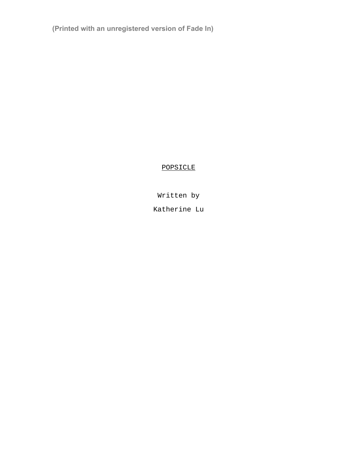**(Printed with an unregistered version of Fade In)**

# POPSICLE

Written by

Katherine Lu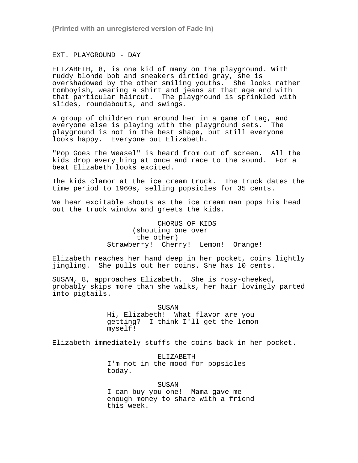**(Printed with an unregistered version of Fade In)**

EXT. PLAYGROUND - DAY

ELIZABETH, 8, is one kid of many on the playground. With ruddy blonde bob and sneakers dirtied gray, she is overshadowed by the other smiling youths. She looks rather tomboyish, wearing a shirt and jeans at that age and with that particular haircut. The playground is sprinkled with slides, roundabouts, and swings.

A group of children run around her in a game of tag, and everyone else is playing with the playground sets. The playground is not in the best shape, but still everyone looks happy. Everyone but Elizabeth.

"Pop Goes the Weasel" is heard from out of screen. All the kids drop everything at once and race to the sound. For a beat Elizabeth looks excited.

The kids clamor at the ice cream truck. The truck dates the time period to 1960s, selling popsicles for 35 cents.

We hear excitable shouts as the ice cream man pops his head out the truck window and greets the kids.

> CHORUS OF KIDS (shouting one over the other) Strawberry! Cherry! Lemon! Orange!

Elizabeth reaches her hand deep in her pocket, coins lightly jingling. She pulls out her coins. She has 10 cents.

SUSAN, 8, approaches Elizabeth. She is rosy-cheeked, probably skips more than she walks, her hair lovingly parted into pigtails.

> SUSAN Hi, Elizabeth! What flavor are you getting? I think I'll get the lemon myself!

Elizabeth immediately stuffs the coins back in her pocket.

ELIZABETH

I'm not in the mood for popsicles today.

SUSAN

I can buy you one! Mama gave me enough money to share with a friend this week.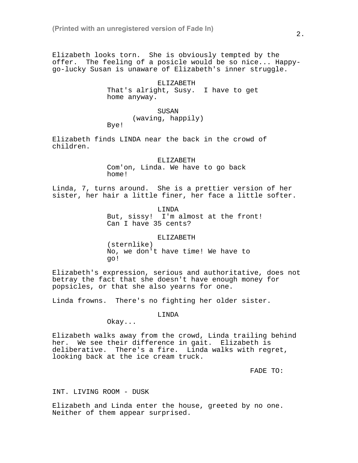Elizabeth looks torn. She is obviously tempted by the offer. The feeling of a posicle would be so nice... Happygo-lucky Susan is unaware of Elizabeth's inner struggle.

> ELIZABETH That's alright, Susy. I have to get home anyway.

> > SUSAN (waving, happily)

Bye!

Elizabeth finds LINDA near the back in the crowd of children.

> ELIZABETH Com'on, Linda. We have to go back home!

Linda, 7, turns around. She is a prettier version of her sister, her hair a little finer, her face a little softer.

> LINDA But, sissy! I'm almost at the front! Can I have 35 cents?

### ELIZABETH

(sternlike) No, we don't have time! We have to go!

Elizabeth's expression, serious and authoritative, does not betray the fact that she doesn't have enough money for popsicles, or that she also yearns for one.

Linda frowns. There's no fighting her older sister.

LINDA

Okay...

Elizabeth walks away from the crowd, Linda trailing behind her. We see their difference in gait. Elizabeth is deliberative. There's a fire. Linda walks with regret, looking back at the ice cream truck.

FADE TO:

### INT. LIVING ROOM - DUSK

Elizabeth and Linda enter the house, greeted by no one. Neither of them appear surprised.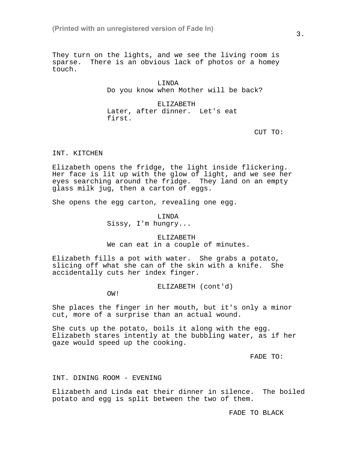They turn on the lights, and we see the living room is sparse. There is an obvious lack of photos or a homey touch.

> LINDA Do you know when Mother will be back?

ELIZABETH Later, after dinner. Let's eat first.

CUT TO:

### INT. KITCHEN

Elizabeth opens the fridge, the light inside flickering. Her face is lit up with the glow of light, and we see her eyes searching around the fridge. They land on an empty glass milk jug, then a carton of eggs.

She opens the egg carton, revealing one egg.

LINDA Sissy, I'm hungry...

ELIZABETH We can eat in a couple of minutes.

Elizabeth fills a pot with water. She grabs a potato, slicing off what she can of the skin with a knife. She accidentally cuts her index finger.

ELIZABETH (cont'd)

OW!

She places the finger in her mouth, but it's only a minor cut, more of a surprise than an actual wound.

She cuts up the potato, boils it along with the egg. Elizabeth stares intently at the bubbling water, as if her gaze would speed up the cooking.

FADE TO:

INT. DINING ROOM - EVENING

Elizabeth and Linda eat their dinner in silence. The boiled potato and egg is split between the two of them.

FADE TO BLACK

3.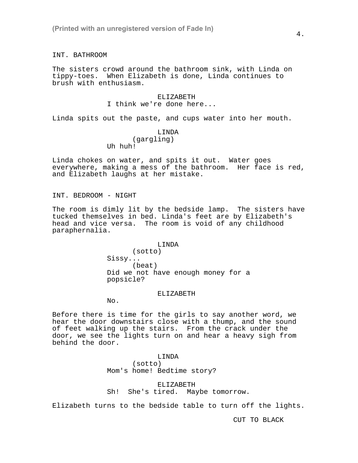INT. BATHROOM

The sisters crowd around the bathroom sink, with Linda on tippy-toes. When Elizabeth is done, Linda continues to brush with enthusiasm.

### ELIZABETH I think we're done here...

Linda spits out the paste, and cups water into her mouth.

### LINDA (gargling) Uh huh!

Linda chokes on water, and spits it out. Water goes everywhere, making a mess of the bathroom. Her face is red, and Elizabeth laughs at her mistake.

INT. BEDROOM - NIGHT

The room is dimly lit by the bedside lamp. The sisters have tucked themselves in bed. Linda's feet are by Elizabeth's head and vice versa. The room is void of any childhood paraphernalia.

#### LINDA

(sotto) Sissy... (beat) Did we not have enough money for a popsicle?

#### ELIZABETH

No.

Before there is time for the girls to say another word, we hear the door downstairs close with a thump, and the sound of feet walking up the stairs. From the crack under the door, we see the lights turn on and hear a heavy sigh from behind the door.

#### LINDA

(sotto) Mom's home! Bedtime story?

ELIZABETH Sh! She's tired. Maybe tomorrow.

Elizabeth turns to the bedside table to turn off the lights.

CUT TO BLACK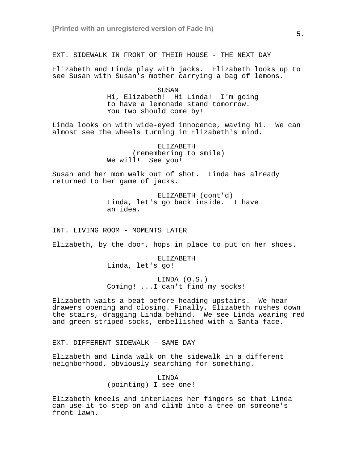EXT. SIDEWALK IN FRONT OF THEIR HOUSE - THE NEXT DAY

Elizabeth and Linda play with jacks. Elizabeth looks up to see Susan with Susan's mother carrying a bag of lemons.

> SUSAN Hi, Elizabeth! Hi Linda! I'm going to have a lemonade stand tomorrow. You two should come by!

Linda looks on with wide-eyed innocence, waving hi. We can almost see the wheels turning in Elizabeth's mind.

> ELIZABETH (remembering to smile) We will! See you!

Susan and her mom walk out of shot. Linda has already returned to her game of jacks.

> ELIZABETH (cont'd) Linda, let's go back inside. I have an idea.

INT. LIVING ROOM - MOMENTS LATER

Elizabeth, by the door, hops in place to put on her shoes.

ELIZABETH Linda, let's go!

LINDA (O.S.) Coming! ...I can't find my socks!

Elizabeth waits a beat before heading upstairs. We hear drawers opening and closing. Finally, Elizabeth rushes down the stairs, dragging Linda behind. We see Linda wearing red and green striped socks, embellished with a Santa face.

EXT. DIFFERENT SIDEWALK - SAME DAY

Elizabeth and Linda walk on the sidewalk in a different neighborhood, obviously searching for something.

> LINDA (pointing) I see one!

Elizabeth kneels and interlaces her fingers so that Linda can use it to step on and climb into a tree on someone's front lawn.

5.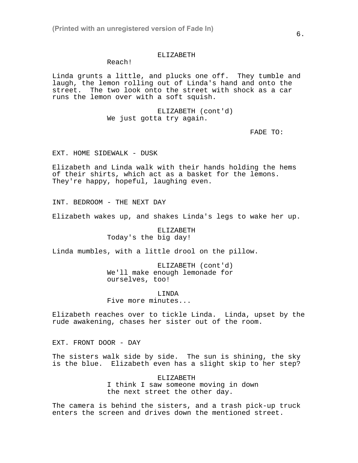### ELIZABETH

## Reach!

Linda grunts a little, and plucks one off. They tumble and laugh, the lemon rolling out of Linda's hand and onto the street. The two look onto the street with shock as a car runs the lemon over with a soft squish.

> ELIZABETH (cont'd) We just gotta try again.

> > FADE TO:

EXT. HOME SIDEWALK - DUSK

Elizabeth and Linda walk with their hands holding the hems of their shirts, which act as a basket for the lemons. They're happy, hopeful, laughing even.

INT. BEDROOM - THE NEXT DAY

Elizabeth wakes up, and shakes Linda's legs to wake her up.

ELIZABETH Today's the big day!

Linda mumbles, with a little drool on the pillow.

ELIZABETH (cont'd) We'll make enough lemonade for ourselves, too!

LINDA Five more minutes...

Elizabeth reaches over to tickle Linda. Linda, upset by the rude awakening, chases her sister out of the room.

EXT. FRONT DOOR - DAY

The sisters walk side by side. The sun is shining, the sky is the blue. Elizabeth even has a slight skip to her step?

> ELIZABETH I think I saw someone moving in down the next street the other day.

The camera is behind the sisters, and a trash pick-up truck enters the screen and drives down the mentioned street.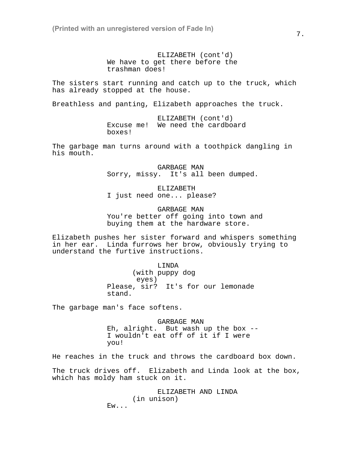ELIZABETH (cont'd) We have to get there before the trashman does!

The sisters start running and catch up to the truck, which has already stopped at the house.

Breathless and panting, Elizabeth approaches the truck.

ELIZABETH (cont'd) Excuse me! We need the cardboard boxes!

The garbage man turns around with a toothpick dangling in his mouth.

> GARBAGE MAN Sorry, missy. It's all been dumped.

ELIZABETH I just need one... please?

GARBAGE MAN You're better off going into town and buying them at the hardware store.

Elizabeth pushes her sister forward and whispers something in her ear. Linda furrows her brow, obviously trying to understand the furtive instructions.

LINDA

(with puppy dog eyes) Please, sir? It's for our lemonade stand.

The garbage man's face softens.

GARBAGE MAN Eh, alright. But wash up the box -- I wouldn't eat off of it if I were you!

He reaches in the truck and throws the cardboard box down.

The truck drives off. Elizabeth and Linda look at the box, which has moldy ham stuck on it.

> ELIZABETH AND LINDA (in unison) Ew...